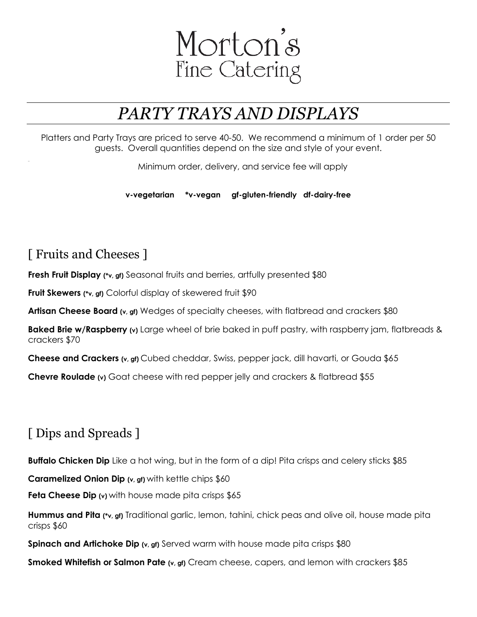

## *PARTY TRAYS AND DISPLAYS*

Platters and Party Trays are priced to serve 40-50. We recommend a minimum of 1 order per 50 guests. Overall quantities depend on the size and style of your event.

Minimum order, delivery, and service fee will apply

**v-vegetarian \*v-vegan gf-gluten-friendly df-dairy-free**

## [ Fruits and Cheeses ]

**Fresh Fruit Display** (\*v, gf) Seasonal fruits and berries, artfully presented \$80

**Fruit Skewers (\*v, gf)** Colorful display of skewered fruit \$90

**Artisan Cheese Board (v, gf)** Wedges of specialty cheeses, with flatbread and crackers \$80

**Baked Brie w/Raspberry (v)** Large wheel of brie baked in puff pastry, with raspberry jam, flatbreads & crackers \$70

**Cheese and Crackers (v, gf)** Cubed cheddar, Swiss, pepper jack, dill havarti, or Gouda \$65

**Chevre Roulade** (v) Goat cheese with red pepper jelly and crackers & flatbread \$55

## [ Dips and Spreads ]

**Buffalo Chicken Dip** Like a hot wing, but in the form of a dip! Pita crisps and celery sticks \$85

**Caramelized Onion Dip (v, gf)** with kettle chips \$60

**Feta Cheese Dip** (v) with house made pita crisps \$65

**Hummus and Pita (\*v, gf)** Traditional garlic, lemon, tahini, chick peas and olive oil, house made pita crisps \$60

**Spinach and Artichoke Dip** (v, gf) Served warm with house made pita crisps \$80

**Smoked Whitefish or Salmon Pate (v, gf)** Cream cheese, capers, and lemon with crackers \$85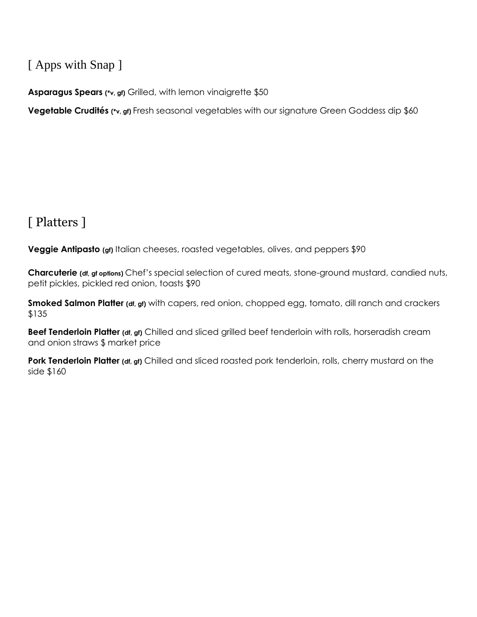### [ Apps with Snap ]

**Asparagus Spears (\*v, gf)** Grilled, with lemon vinaigrette \$50

**Vegetable Crudités (\*v, gf)** Fresh seasonal vegetables with our signature Green Goddess dip \$60

## [ Platters ]

**Veggie Antipasto** (gf) Italian cheeses, roasted vegetables, olives, and peppers \$90

**Charcuterie (df, gf options)** Chef's special selection of cured meats, stone-ground mustard, candied nuts, petit pickles, pickled red onion, toasts \$90

**Smoked Salmon Platter (df, gf)** with capers, red onion, chopped egg, tomato, dill ranch and crackers \$135

**Beef Tenderloin Platter (df, gf)** Chilled and sliced grilled beef tenderloin with rolls, horseradish cream and onion straws \$ market price

**Pork Tenderloin Platter (df, gf)** Chilled and sliced roasted pork tenderloin, rolls, cherry mustard on the side \$160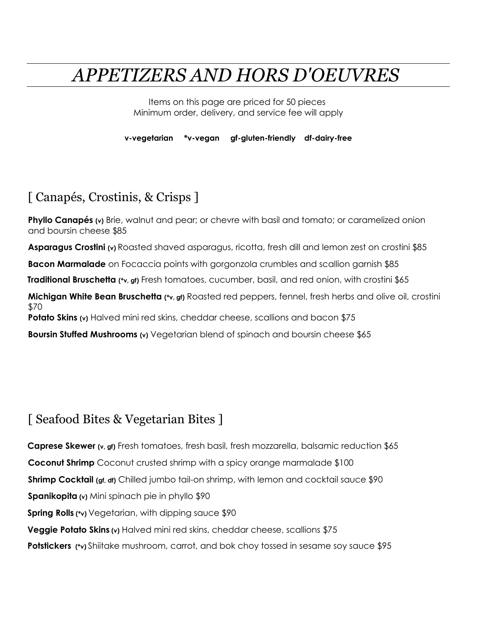# *APPETIZERS AND HORS D'OEUVRES*

Items on this page are priced for 50 pieces Minimum order, delivery, and service fee will apply

**v-vegetarian \*v-vegan gf-gluten-friendly df-dairy-free**

#### [ Canapés, Crostinis, & Crisps ]

**Phyllo Canapés** (v) Brie, walnut and pear; or chevre with basil and tomato; or caramelized onion and boursin cheese \$85

**Asparagus Crostini (v)** Roasted shaved asparagus, ricotta, fresh dill and lemon zest on crostini \$85

**Bacon Marmalade** on Focaccia points with gorgonzola crumbles and scallion garnish \$85

**Traditional Bruschetta (\*v, gf)** Fresh tomatoes, cucumber, basil, and red onion, with crostini \$65

**Michigan White Bean Bruschetta (\*v, gf)** Roasted red peppers, fennel, fresh herbs and olive oil, crostini \$70

**Potato Skins** (v) Halved mini red skins, cheddar cheese, scallions and bacon \$75

**Boursin Stuffed Mushrooms (v)** Vegetarian blend of spinach and boursin cheese \$65

#### [ Seafood Bites & Vegetarian Bites ]

**Caprese Skewer (v, gf)** Fresh tomatoes, fresh basil, fresh mozzarella, balsamic reduction \$65 **Coconut Shrimp** Coconut crusted shrimp with a spicy orange marmalade \$100 **Shrimp Cocktail (gf, df)** Chilled jumbo tail-on shrimp, with lemon and cocktail sauce \$90 **Spanikopita (v)** Mini spinach pie in phyllo \$90 **Spring Rolls** (\*v) Vegetarian, with dipping sauce \$90 **Veggie Potato Skins (v)** Halved mini red skins, cheddar cheese, scallions \$75 **Potstickers (\*v)** Shiitake mushroom, carrot, and bok choy tossed in sesame soy sauce \$95